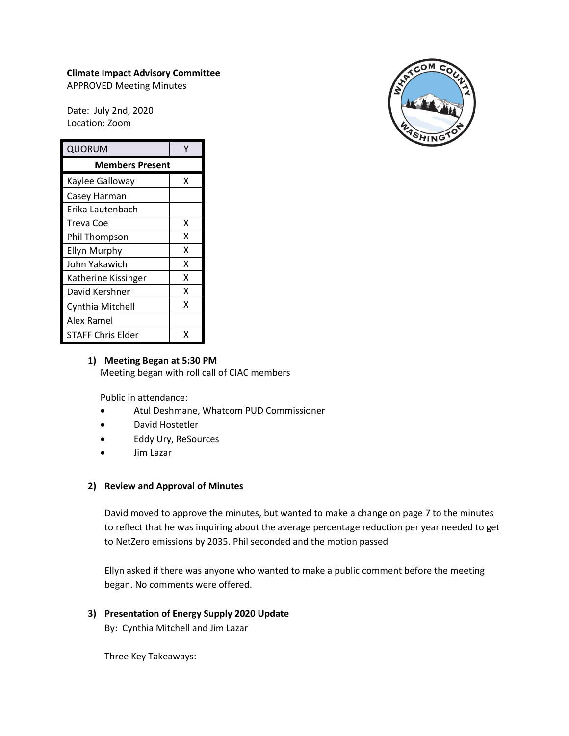# **Climate Impact Advisory Committee**

APPROVED Meeting Minutes

Date: July 2nd, 2020 Location: Zoom

| QUORUM                 | γ |
|------------------------|---|
| <b>Members Present</b> |   |
| Kaylee Galloway        | x |
| Casey Harman           |   |
| Erika Lautenbach       |   |
| Treva Coe              | x |
| Phil Thompson          | x |
| <b>Ellyn Murphy</b>    | x |
| John Yakawich          | x |
| Katherine Kissinger    | x |
| David Kershner         | x |
| Cynthia Mitchell       | x |
| Alex Ramel             |   |
| STAFF Chris Elder      |   |

## **1) Meeting Began at 5:30 PM** Meeting began with roll call of CIAC members

Public in attendance:

- Atul Deshmane, Whatcom PUD Commissioner
- David Hostetler
- Eddy Ury, ReSources
- Jim Lazar

# **2) Review and Approval of Minutes**

David moved to approve the minutes, but wanted to make a change on page 7 to the minutes to reflect that he was inquiring about the average percentage reduction per year needed to get to NetZero emissions by 2035. Phil seconded and the motion passed

Ellyn asked if there was anyone who wanted to make a public comment before the meeting began. No comments were offered.

# **3) Presentation of Energy Supply 2020 Update**

By: Cynthia Mitchell and Jim Lazar

Three Key Takeaways: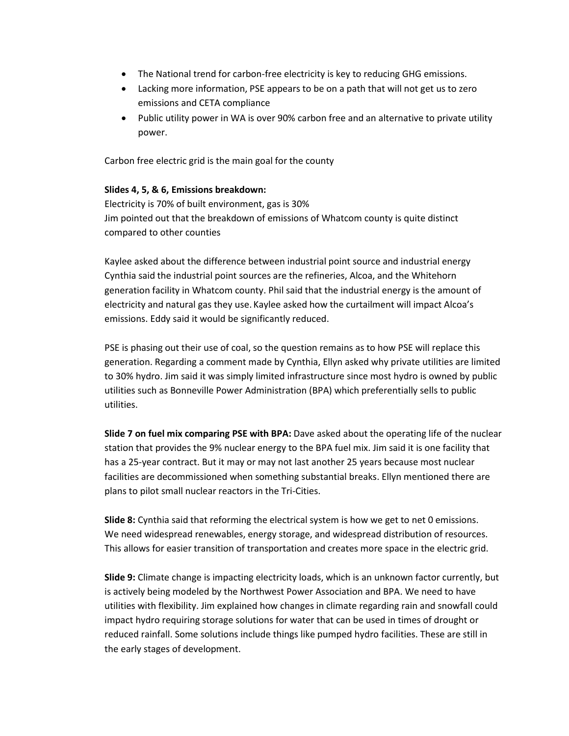- The National trend for carbon-free electricity is key to reducing GHG emissions.
- Lacking more information, PSE appears to be on a path that will not get us to zero emissions and CETA compliance
- Public utility power in WA is over 90% carbon free and an alternative to private utility power.

Carbon free electric grid is the main goal for the county

## **Slides 4, 5, & 6, Emissions breakdown:**

Electricity is 70% of built environment, gas is 30% Jim pointed out that the breakdown of emissions of Whatcom county is quite distinct compared to other counties

Kaylee asked about the difference between industrial point source and industrial energy Cynthia said the industrial point sources are the refineries, Alcoa, and the Whitehorn generation facility in Whatcom county. Phil said that the industrial energy is the amount of electricity and natural gas they use. Kaylee asked how the curtailment will impact Alcoa's emissions. Eddy said it would be significantly reduced.

PSE is phasing out their use of coal, so the question remains as to how PSE will replace this generation. Regarding a comment made by Cynthia, Ellyn asked why private utilities are limited to 30% hydro. Jim said it was simply limited infrastructure since most hydro is owned by public utilities such as Bonneville Power Administration (BPA) which preferentially sells to public utilities.

**Slide 7 on fuel mix comparing PSE with BPA:** Dave asked about the operating life of the nuclear station that provides the 9% nuclear energy to the BPA fuel mix. Jim said it is one facility that has a 25-year contract. But it may or may not last another 25 years because most nuclear facilities are decommissioned when something substantial breaks. Ellyn mentioned there are plans to pilot small nuclear reactors in the Tri-Cities.

**Slide 8:** Cynthia said that reforming the electrical system is how we get to net 0 emissions. We need widespread renewables, energy storage, and widespread distribution of resources. This allows for easier transition of transportation and creates more space in the electric grid.

**Slide 9:** Climate change is impacting electricity loads, which is an unknown factor currently, but is actively being modeled by the Northwest Power Association and BPA. We need to have utilities with flexibility. Jim explained how changes in climate regarding rain and snowfall could impact hydro requiring storage solutions for water that can be used in times of drought or reduced rainfall. Some solutions include things like pumped hydro facilities. These are still in the early stages of development.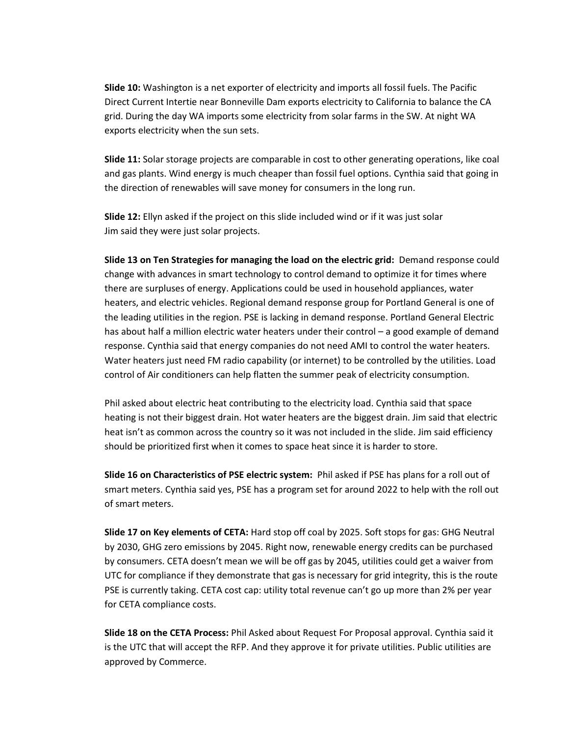**Slide 10:** Washington is a net exporter of electricity and imports all fossil fuels. The Pacific Direct Current Intertie near Bonneville Dam exports electricity to California to balance the CA grid. During the day WA imports some electricity from solar farms in the SW. At night WA exports electricity when the sun sets.

**Slide 11:** Solar storage projects are comparable in cost to other generating operations, like coal and gas plants. Wind energy is much cheaper than fossil fuel options. Cynthia said that going in the direction of renewables will save money for consumers in the long run.

**Slide 12:** Ellyn asked if the project on this slide included wind or if it was just solar Jim said they were just solar projects.

**Slide 13 on Ten Strategies for managing the load on the electric grid:** Demand response could change with advances in smart technology to control demand to optimize it for times where there are surpluses of energy. Applications could be used in household appliances, water heaters, and electric vehicles. Regional demand response group for Portland General is one of the leading utilities in the region. PSE is lacking in demand response. Portland General Electric has about half a million electric water heaters under their control – a good example of demand response. Cynthia said that energy companies do not need AMI to control the water heaters. Water heaters just need FM radio capability (or internet) to be controlled by the utilities. Load control of Air conditioners can help flatten the summer peak of electricity consumption.

Phil asked about electric heat contributing to the electricity load. Cynthia said that space heating is not their biggest drain. Hot water heaters are the biggest drain. Jim said that electric heat isn't as common across the country so it was not included in the slide. Jim said efficiency should be prioritized first when it comes to space heat since it is harder to store.

**Slide 16 on Characteristics of PSE electric system:** Phil asked if PSE has plans for a roll out of smart meters. Cynthia said yes, PSE has a program set for around 2022 to help with the roll out of smart meters.

**Slide 17 on Key elements of CETA:** Hard stop off coal by 2025. Soft stops for gas: GHG Neutral by 2030, GHG zero emissions by 2045. Right now, renewable energy credits can be purchased by consumers. CETA doesn't mean we will be off gas by 2045, utilities could get a waiver from UTC for compliance if they demonstrate that gas is necessary for grid integrity, this is the route PSE is currently taking. CETA cost cap: utility total revenue can't go up more than 2% per year for CETA compliance costs.

**Slide 18 on the CETA Process:** Phil Asked about Request For Proposal approval. Cynthia said it is the UTC that will accept the RFP. And they approve it for private utilities. Public utilities are approved by Commerce.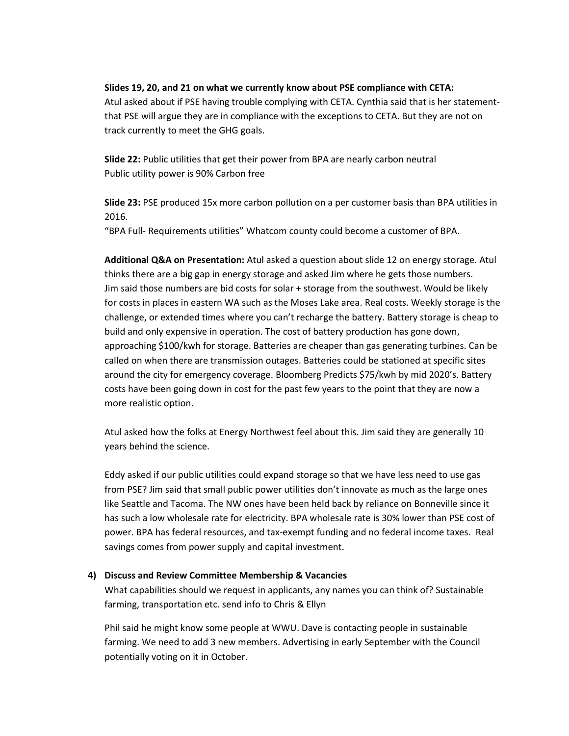### **Slides 19, 20, and 21 on what we currently know about PSE compliance with CETA:**

Atul asked about if PSE having trouble complying with CETA. Cynthia said that is her statementthat PSE will argue they are in compliance with the exceptions to CETA. But they are not on track currently to meet the GHG goals.

**Slide 22:** Public utilities that get their power from BPA are nearly carbon neutral Public utility power is 90% Carbon free

**Slide 23:** PSE produced 15x more carbon pollution on a per customer basis than BPA utilities in 2016.

"BPA Full- Requirements utilities" Whatcom county could become a customer of BPA.

**Additional Q&A on Presentation:** Atul asked a question about slide 12 on energy storage. Atul thinks there are a big gap in energy storage and asked Jim where he gets those numbers. Jim said those numbers are bid costs for solar + storage from the southwest. Would be likely for costs in places in eastern WA such as the Moses Lake area. Real costs. Weekly storage is the challenge, or extended times where you can't recharge the battery. Battery storage is cheap to build and only expensive in operation. The cost of battery production has gone down, approaching \$100/kwh for storage. Batteries are cheaper than gas generating turbines. Can be called on when there are transmission outages. Batteries could be stationed at specific sites around the city for emergency coverage. Bloomberg Predicts \$75/kwh by mid 2020's. Battery costs have been going down in cost for the past few years to the point that they are now a more realistic option.

Atul asked how the folks at Energy Northwest feel about this. Jim said they are generally 10 years behind the science.

Eddy asked if our public utilities could expand storage so that we have less need to use gas from PSE? Jim said that small public power utilities don't innovate as much as the large ones like Seattle and Tacoma. The NW ones have been held back by reliance on Bonneville since it has such a low wholesale rate for electricity. BPA wholesale rate is 30% lower than PSE cost of power. BPA has federal resources, and tax-exempt funding and no federal income taxes. Real savings comes from power supply and capital investment.

#### **4) Discuss and Review Committee Membership & Vacancies**

What capabilities should we request in applicants, any names you can think of? Sustainable farming, transportation etc. send info to Chris & Ellyn

Phil said he might know some people at WWU. Dave is contacting people in sustainable farming. We need to add 3 new members. Advertising in early September with the Council potentially voting on it in October.